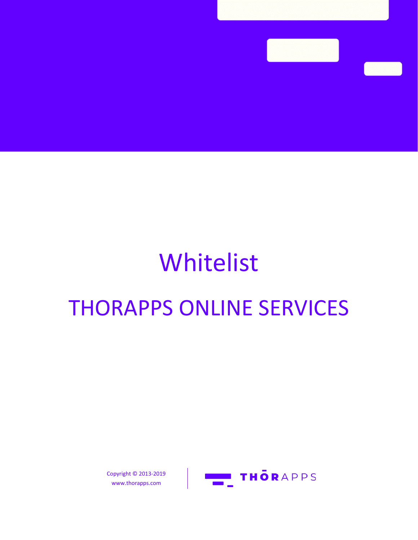## Whitelist THORAPPS ONLINE SERVICES



Copyright © 2013-2019 www.thorapps.com